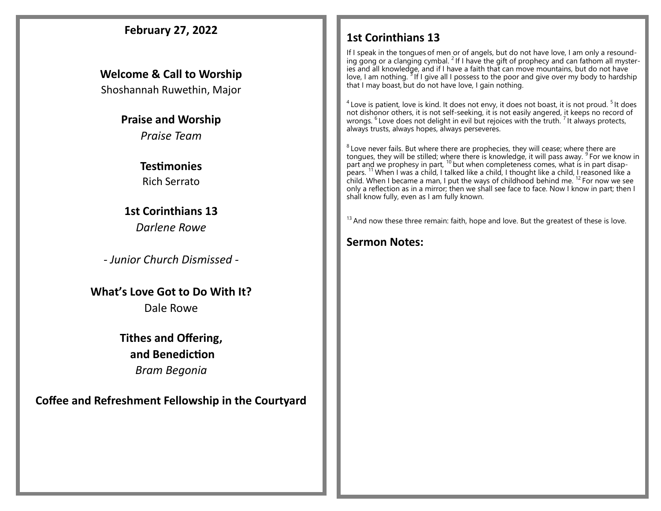#### **February 27, 2022 Welcome & Call to Worship**  Shoshannah Ruwethin, Major **Praise and Worship** *Praise Team* **Testimonies**  Rich Serrato **1st Corinthians 13** *Darlene Rowe - Junior Church Dismissed -* **What's Love Got to Do With It?** Dale Rowe **Tithes and Offering, and Benediction** *Bram Begonia*  **Coffee and Refreshment Fellowship in the Courtyard 1st Corinthians 13**  If I speak in the tongues of men or of angels, but do not have love, I am only a resounding gong or a clanging cymbal. <sup>2</sup> If I have the gift of prophecy and can fathom all mysteries and all knowledge, and if I have a faith that can move mountains, but do not have love, I am nothing. <sup>3</sup> If I give all I possess to the poor and give over my body to hardship that I may boast, but do not have love, I gain nothing.  $^4$  Love is patient, love is kind. It does not envy, it does not boast, it is not proud.  $^5$  It does not dishonor others, it is not self-seeking, it is not easily angered, it keeps no record of wrongs.  $^6$  Love does not delight in evil but rejoices with the truth.  $^7$  It always protects, always trusts, always hopes, always perseveres.  $8$  Love never fails. But where there are prophecies, they will cease; where there are tongues, they will be stilled; where there is knowledge, it will pass away. <sup>9</sup> For we know in part and we prophesy in part,  $^{10}$  but when completeness comes, what is in part disappears. <sup>11</sup> When I was a child, I talked like a child, I thought like a child, I reasoned like a child. When I became a man, I put the ways of childhood behind me. <sup>12</sup> For now we see only a reflection as in a mirror; then we shall see face to face. Now I know in part; then I shall know fully, even as I am fully known.  $13$  And now these three remain: faith, hope and love. But the greatest of these is love. **Sermon Notes:**